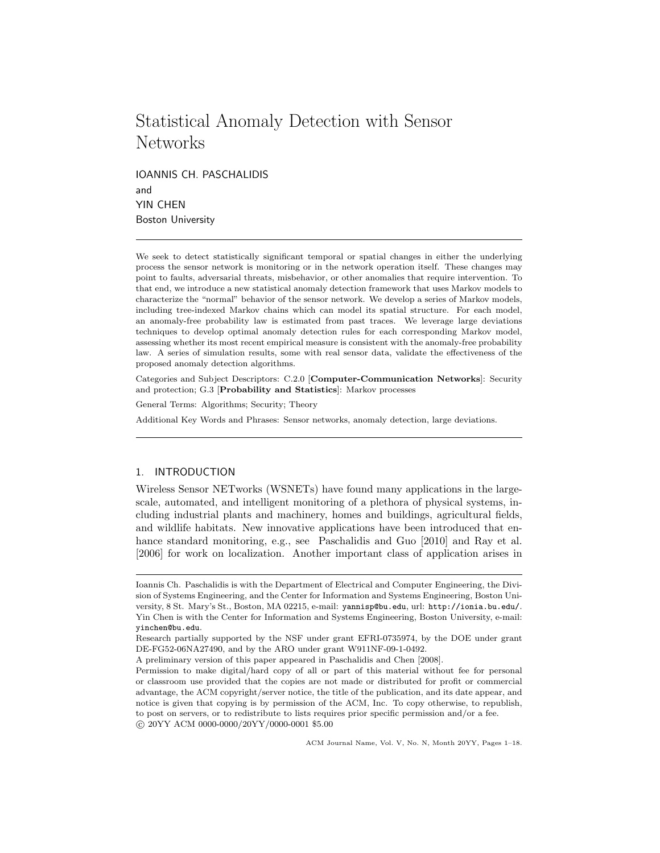# Statistical Anomaly Detection with Sensor **Networks**

IOANNIS CH. PASCHALIDIS and YIN CHEN Boston University

We seek to detect statistically significant temporal or spatial changes in either the underlying process the sensor network is monitoring or in the network operation itself. These changes may point to faults, adversarial threats, misbehavior, or other anomalies that require intervention. To that end, we introduce a new statistical anomaly detection framework that uses Markov models to characterize the "normal" behavior of the sensor network. We develop a series of Markov models, including tree-indexed Markov chains which can model its spatial structure. For each model, an anomaly-free probability law is estimated from past traces. We leverage large deviations techniques to develop optimal anomaly detection rules for each corresponding Markov model, assessing whether its most recent empirical measure is consistent with the anomaly-free probability law. A series of simulation results, some with real sensor data, validate the effectiveness of the proposed anomaly detection algorithms.

Categories and Subject Descriptors: C.2.0 [Computer-Communication Networks]: Security and protection; G.3 [Probability and Statistics]: Markov processes

General Terms: Algorithms; Security; Theory

Additional Key Words and Phrases: Sensor networks, anomaly detection, large deviations.

# 1. INTRODUCTION

Wireless Sensor NETworks (WSNETs) have found many applications in the largescale, automated, and intelligent monitoring of a plethora of physical systems, including industrial plants and machinery, homes and buildings, agricultural fields, and wildlife habitats. New innovative applications have been introduced that enhance standard monitoring, e.g., see Paschalidis and Guo [2010] and Ray et al. [2006] for work on localization. Another important class of application arises in

ACM Journal Name, Vol. V, No. N, Month 20YY, Pages 1–18.

Ioannis Ch. Paschalidis is with the Department of Electrical and Computer Engineering, the Division of Systems Engineering, and the Center for Information and Systems Engineering, Boston University, 8 St. Mary's St., Boston, MA 02215, e-mail: yannisp@bu.edu, url: http://ionia.bu.edu/. Yin Chen is with the Center for Information and Systems Engineering, Boston University, e-mail: yinchen@bu.edu.

Research partially supported by the NSF under grant EFRI-0735974, by the DOE under grant DE-FG52-06NA27490, and by the ARO under grant W911NF-09-1-0492.

A preliminary version of this paper appeared in Paschalidis and Chen [2008].

Permission to make digital/hard copy of all or part of this material without fee for personal or classroom use provided that the copies are not made or distributed for profit or commercial advantage, the ACM copyright/server notice, the title of the publication, and its date appear, and notice is given that copying is by permission of the ACM, Inc. To copy otherwise, to republish, to post on servers, or to redistribute to lists requires prior specific permission and/or a fee. c 20YY ACM 0000-0000/20YY/0000-0001 \$5.00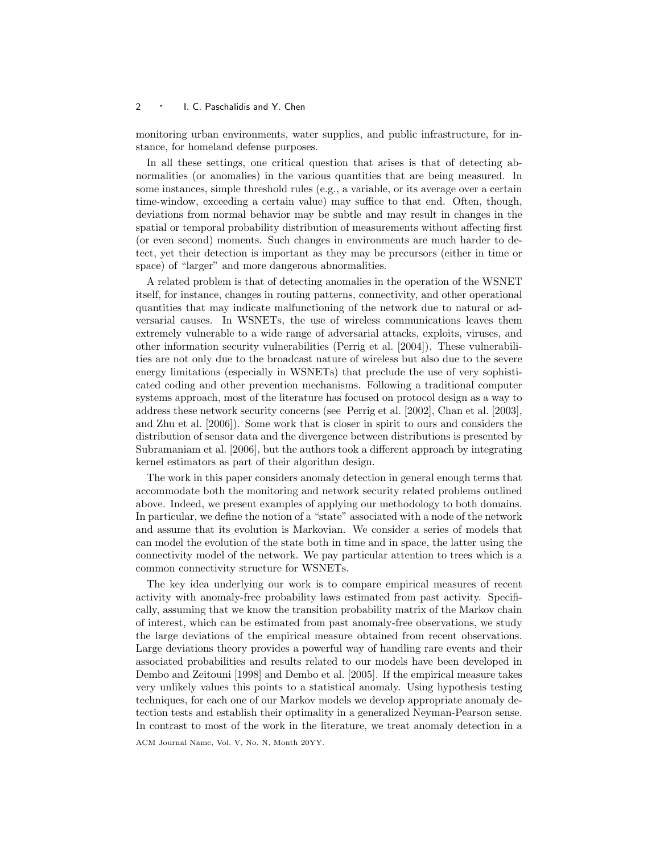monitoring urban environments, water supplies, and public infrastructure, for instance, for homeland defense purposes.

In all these settings, one critical question that arises is that of detecting abnormalities (or anomalies) in the various quantities that are being measured. In some instances, simple threshold rules (e.g., a variable, or its average over a certain time-window, exceeding a certain value) may suffice to that end. Often, though, deviations from normal behavior may be subtle and may result in changes in the spatial or temporal probability distribution of measurements without affecting first (or even second) moments. Such changes in environments are much harder to detect, yet their detection is important as they may be precursors (either in time or space) of "larger" and more dangerous abnormalities.

A related problem is that of detecting anomalies in the operation of the WSNET itself, for instance, changes in routing patterns, connectivity, and other operational quantities that may indicate malfunctioning of the network due to natural or adversarial causes. In WSNETs, the use of wireless communications leaves them extremely vulnerable to a wide range of adversarial attacks, exploits, viruses, and other information security vulnerabilities (Perrig et al. [2004]). These vulnerabilities are not only due to the broadcast nature of wireless but also due to the severe energy limitations (especially in WSNETs) that preclude the use of very sophisticated coding and other prevention mechanisms. Following a traditional computer systems approach, most of the literature has focused on protocol design as a way to address these network security concerns (see Perrig et al. [2002], Chan et al. [2003], and Zhu et al. [2006]). Some work that is closer in spirit to ours and considers the distribution of sensor data and the divergence between distributions is presented by Subramaniam et al. [2006], but the authors took a different approach by integrating kernel estimators as part of their algorithm design.

The work in this paper considers anomaly detection in general enough terms that accommodate both the monitoring and network security related problems outlined above. Indeed, we present examples of applying our methodology to both domains. In particular, we define the notion of a "state" associated with a node of the network and assume that its evolution is Markovian. We consider a series of models that can model the evolution of the state both in time and in space, the latter using the connectivity model of the network. We pay particular attention to trees which is a common connectivity structure for WSNETs.

The key idea underlying our work is to compare empirical measures of recent activity with anomaly-free probability laws estimated from past activity. Specifically, assuming that we know the transition probability matrix of the Markov chain of interest, which can be estimated from past anomaly-free observations, we study the large deviations of the empirical measure obtained from recent observations. Large deviations theory provides a powerful way of handling rare events and their associated probabilities and results related to our models have been developed in Dembo and Zeitouni [1998] and Dembo et al. [2005]. If the empirical measure takes very unlikely values this points to a statistical anomaly. Using hypothesis testing techniques, for each one of our Markov models we develop appropriate anomaly detection tests and establish their optimality in a generalized Neyman-Pearson sense. In contrast to most of the work in the literature, we treat anomaly detection in a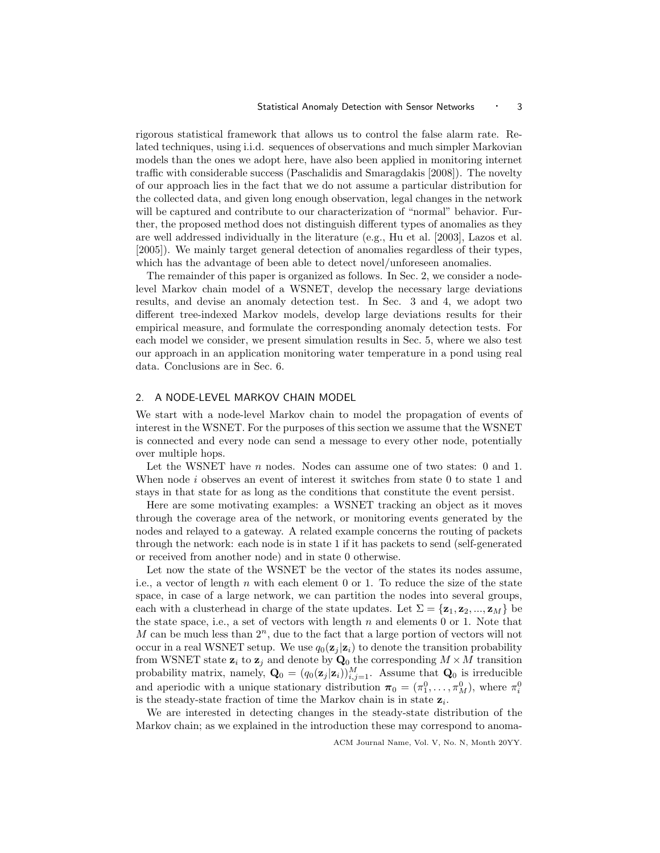rigorous statistical framework that allows us to control the false alarm rate. Related techniques, using i.i.d. sequences of observations and much simpler Markovian models than the ones we adopt here, have also been applied in monitoring internet traffic with considerable success (Paschalidis and Smaragdakis [2008]). The novelty of our approach lies in the fact that we do not assume a particular distribution for the collected data, and given long enough observation, legal changes in the network will be captured and contribute to our characterization of "normal" behavior. Further, the proposed method does not distinguish different types of anomalies as they are well addressed individually in the literature (e.g., Hu et al. [2003], Lazos et al. [2005]). We mainly target general detection of anomalies regardless of their types, which has the advantage of been able to detect novel/unforeseen anomalies.

The remainder of this paper is organized as follows. In Sec. 2, we consider a nodelevel Markov chain model of a WSNET, develop the necessary large deviations results, and devise an anomaly detection test. In Sec. 3 and 4, we adopt two different tree-indexed Markov models, develop large deviations results for their empirical measure, and formulate the corresponding anomaly detection tests. For each model we consider, we present simulation results in Sec. 5, where we also test our approach in an application monitoring water temperature in a pond using real data. Conclusions are in Sec. 6.

# 2. A NODE-LEVEL MARKOV CHAIN MODEL

We start with a node-level Markov chain to model the propagation of events of interest in the WSNET. For the purposes of this section we assume that the WSNET is connected and every node can send a message to every other node, potentially over multiple hops.

Let the WSNET have  $n$  nodes. Nodes can assume one of two states: 0 and 1. When node *i* observes an event of interest it switches from state 0 to state 1 and stays in that state for as long as the conditions that constitute the event persist.

Here are some motivating examples: a WSNET tracking an object as it moves through the coverage area of the network, or monitoring events generated by the nodes and relayed to a gateway. A related example concerns the routing of packets through the network: each node is in state 1 if it has packets to send (self-generated or received from another node) and in state 0 otherwise.

Let now the state of the WSNET be the vector of the states its nodes assume, i.e., a vector of length n with each element 0 or 1. To reduce the size of the state space, in case of a large network, we can partition the nodes into several groups, each with a clusterhead in charge of the state updates. Let  $\Sigma = {\mathbf{z}_1, \mathbf{z}_2, ..., \mathbf{z}_M}$  be the state space, i.e., a set of vectors with length  $n$  and elements 0 or 1. Note that M can be much less than  $2^n$ , due to the fact that a large portion of vectors will not occur in a real WSNET setup. We use  $q_0(\mathbf{z}_i | \mathbf{z}_i)$  to denote the transition probability from WSNET state  $z_i$  to  $z_j$  and denote by  $Q_0$  the corresponding  $M \times M$  transition probability matrix, namely,  $\mathbf{Q}_0 = (q_0(\mathbf{z}_j|\mathbf{z}_i))_{i,j=1}^M$ . Assume that  $\mathbf{Q}_0$  is irreducible and aperiodic with a unique stationary distribution  $\pi_0 = (\pi_1^0, \ldots, \pi_M^0)$ , where  $\pi_i^0$ is the steady-state fraction of time the Markov chain is in state  $z_i$ .

We are interested in detecting changes in the steady-state distribution of the Markov chain; as we explained in the introduction these may correspond to anoma-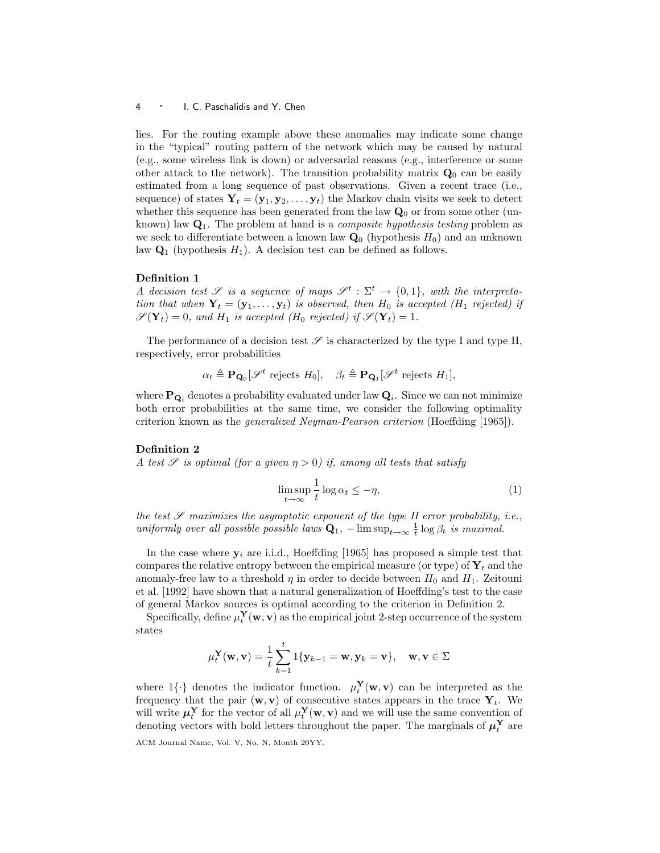lies. For the routing example above these anomalies may indicate some change in the "typical" routing pattern of the network which may be caused by natural (e.g., some wireless link is down) or adversarial reasons (e.g., interference or some other attack to the network). The transition probability matrix  $\mathbf{Q}_0$  can be easily estimated from a long sequence of past observations. Given a recent trace (i.e., sequence) of states  $Y_t = (y_1, y_2, \ldots, y_t)$  the Markov chain visits we seek to detect whether this sequence has been generated from the law  $\mathbf{Q}_0$  or from some other (unknown) law  $Q_1$ . The problem at hand is a *composite hypothesis testing* problem as we seek to differentiate between a known law  $\mathbf{Q}_0$  (hypothesis  $H_0$ ) and an unknown law  $\mathbf{Q}_1$  (hypothesis  $H_1$ ). A decision test can be defined as follows.

# Definition 1

A decision test  $\mathscr S$  is a sequence of maps  $\mathscr S^t : \Sigma^t \to \{0,1\}$ , with the interpretation that when  $Y_t = (\mathbf{y}_1, \ldots, \mathbf{y}_t)$  is observed, then  $H_0$  is accepted ( $H_1$  rejected) if  $\mathscr{S}(\mathbf{Y}_t) = 0$ , and  $H_1$  is accepted ( $H_0$  rejected) if  $\mathscr{S}(\mathbf{Y}_t) = 1$ .

The performance of a decision test  $\mathscr S$  is characterized by the type I and type II, respectively, error probabilities

$$
\alpha_t \triangleq \mathbf{P}_{\mathbf{Q}_0}[\mathscr{S}^t \text{ rejects } H_0], \quad \beta_t \triangleq \mathbf{P}_{\mathbf{Q}_1}[\mathscr{S}^t \text{ rejects } H_1],
$$

where  $\mathbf{P}_{\mathbf{Q}_i}$  denotes a probability evaluated under law  $\mathbf{Q}_i$ . Since we can not minimize both error probabilities at the same time, we consider the following optimality criterion known as the generalized Neyman-Pearson criterion (Hoeffding [1965]).

## Definition 2

A test  $\mathscr S$  is optimal (for a given  $\eta > 0$ ) if, among all tests that satisfy

$$
\limsup_{t \to \infty} \frac{1}{t} \log \alpha_t \le -\eta,\tag{1}
$$

the test  $\mathscr S$  maximizes the asymptotic exponent of the type II error probability, i.e., uniformly over all possible possible laws  $Q_1$ ,  $-\limsup_{t\to\infty}\frac{1}{t}\log\beta_t$  is maximal.

In the case where  $y_i$  are i.i.d., Hoeffding [1965] has proposed a simple test that compares the relative entropy between the empirical measure (or type) of  $Y_t$  and the anomaly-free law to a threshold  $\eta$  in order to decide between  $H_0$  and  $H_1$ . Zeitouni et al. [1992] have shown that a natural generalization of Hoeffding's test to the case of general Markov sources is optimal according to the criterion in Definition 2.

Specifically, define  $\mu_t^{\mathbf{Y}}(\mathbf{w},\mathbf{v})$  as the empirical joint 2-step occurrence of the system states

$$
\mu_t^{\mathbf{Y}}(\mathbf{w}, \mathbf{v}) = \frac{1}{t} \sum_{k=1}^t \mathbf{1}\{\mathbf{y}_{k-1} = \mathbf{w}, \mathbf{y}_k = \mathbf{v}\}, \quad \mathbf{w}, \mathbf{v} \in \Sigma
$$

where  $1\{\cdot\}$  denotes the indicator function.  $\mu_t^{\mathbf{Y}}(\mathbf{w}, \mathbf{v})$  can be interpreted as the frequency that the pair  $(\mathbf{w}, \mathbf{v})$  of consecutive states appears in the trace  $\mathbf{Y}_t$ . We will write  $\mu_t^{\mathbf{Y}}$  for the vector of all  $\mu_t^{\mathbf{Y}}(\mathbf{w}, \mathbf{v})$  and we will use the same convention of denoting vectors with bold letters throughout the paper. The marginals of  $\mu_t^{\mathbf{Y}}$  are ACM Journal Name, Vol. V, No. N, Month 20YY.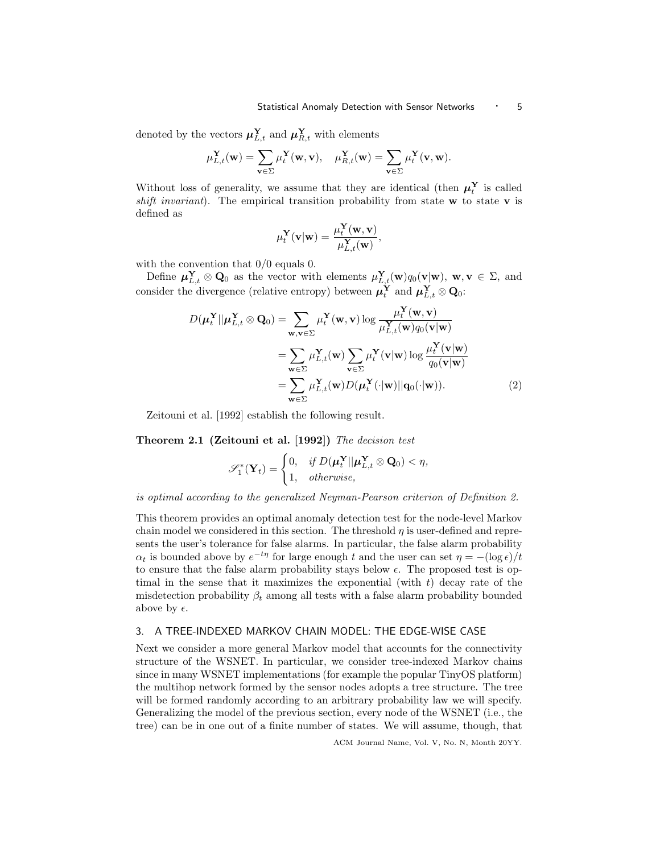denoted by the vectors  $\boldsymbol{\mu}_{L,t}^{\mathbf{Y}}$  and  $\boldsymbol{\mu}_{R,t}^{\mathbf{Y}}$  with elements

$$
\mu_{L,t}^{\mathbf{Y}}(\mathbf{w}) = \sum_{\mathbf{v} \in \Sigma} \mu_t^{\mathbf{Y}}(\mathbf{w}, \mathbf{v}), \quad \mu_{R,t}^{\mathbf{Y}}(\mathbf{w}) = \sum_{\mathbf{v} \in \Sigma} \mu_t^{\mathbf{Y}}(\mathbf{v}, \mathbf{w}).
$$

Without loss of generality, we assume that they are identical (then  $\mu_t^{\mathbf{Y}}$  is called shift invariant). The empirical transition probability from state  $w$  to state  $v$  is defined as

$$
\mu_t^{\mathbf{Y}}(\mathbf{v}|\mathbf{w}) = \frac{\mu_t^{\mathbf{Y}}(\mathbf{w}, \mathbf{v})}{\mu_{L,t}^{\mathbf{Y}}(\mathbf{w})},
$$

with the convention that  $0/0$  equals 0.

Define  $\mu_{L,t}^{\mathbf{Y}} \otimes \mathbf{Q}_0$  as the vector with elements  $\mu_{L,t}^{\mathbf{Y}}(\mathbf{w})q_0(\mathbf{v}|\mathbf{w}), \mathbf{w}, \mathbf{v} \in \Sigma$ , and consider the divergence (relative entropy) between  $\mu_t^{\mathbf{Y}}$  and  $\mu_{L,t}^{\mathbf{Y}} \otimes \mathbf{Q}_0$ :

$$
D(\boldsymbol{\mu}_t^{\mathbf{Y}}||\boldsymbol{\mu}_{L,t}^{\mathbf{Y}} \otimes \mathbf{Q}_0) = \sum_{\mathbf{w}, \mathbf{v} \in \Sigma} \mu_t^{\mathbf{Y}}(\mathbf{w}, \mathbf{v}) \log \frac{\mu_t^{\mathbf{Y}}(\mathbf{w}, \mathbf{v})}{\mu_{L,t}^{\mathbf{Y}}(\mathbf{w}) q_0(\mathbf{v}|\mathbf{w})}
$$
  
\n
$$
= \sum_{\mathbf{w} \in \Sigma} \mu_{L,t}^{\mathbf{Y}}(\mathbf{w}) \sum_{\mathbf{v} \in \Sigma} \mu_t^{\mathbf{Y}}(\mathbf{v}|\mathbf{w}) \log \frac{\mu_t^{\mathbf{Y}}(\mathbf{v}|\mathbf{w})}{q_0(\mathbf{v}|\mathbf{w})}
$$
  
\n
$$
= \sum_{\mathbf{w} \in \Sigma} \mu_{L,t}^{\mathbf{Y}}(\mathbf{w}) D(\boldsymbol{\mu}_t^{\mathbf{Y}}(\cdot|\mathbf{w})||\mathbf{q}_0(\cdot|\mathbf{w})).
$$
 (2)

Zeitouni et al. [1992] establish the following result.

Theorem 2.1 (Zeitouni et al. [1992]) The decision test

$$
\mathscr{S}_1^*(\mathbf{Y}_t) = \begin{cases} 0, & \text{if } D(\boldsymbol{\mu}_t^{\mathbf{Y}} || \boldsymbol{\mu}_{L,t}^{\mathbf{Y}} \otimes \mathbf{Q}_0) < \eta, \\ 1, & \text{otherwise}, \end{cases}
$$

is optimal according to the generalized Neyman-Pearson criterion of Definition 2.

This theorem provides an optimal anomaly detection test for the node-level Markov chain model we considered in this section. The threshold  $\eta$  is user-defined and represents the user's tolerance for false alarms. In particular, the false alarm probability  $\alpha_t$  is bounded above by  $e^{-t\eta}$  for large enough t and the user can set  $\eta = -(\log \epsilon)/t$ to ensure that the false alarm probability stays below  $\epsilon$ . The proposed test is optimal in the sense that it maximizes the exponential (with  $t$ ) decay rate of the misdetection probability  $\beta_t$  among all tests with a false alarm probability bounded above by  $\epsilon$ .

# 3. A TREE-INDEXED MARKOV CHAIN MODEL: THE EDGE-WISE CASE

Next we consider a more general Markov model that accounts for the connectivity structure of the WSNET. In particular, we consider tree-indexed Markov chains since in many WSNET implementations (for example the popular TinyOS platform) the multihop network formed by the sensor nodes adopts a tree structure. The tree will be formed randomly according to an arbitrary probability law we will specify. Generalizing the model of the previous section, every node of the WSNET (i.e., the tree) can be in one out of a finite number of states. We will assume, though, that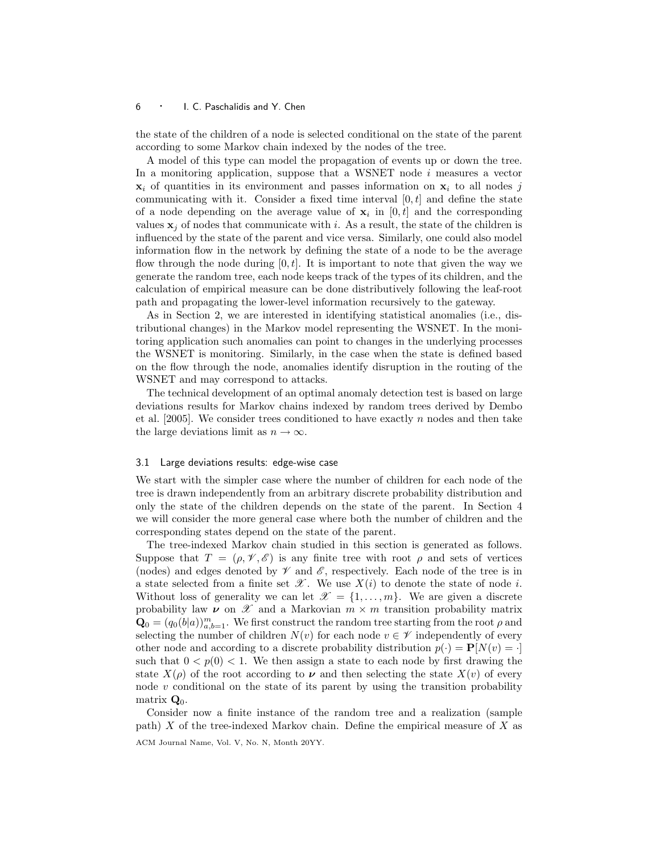the state of the children of a node is selected conditional on the state of the parent according to some Markov chain indexed by the nodes of the tree.

A model of this type can model the propagation of events up or down the tree. In a monitoring application, suppose that a WSNET node  $i$  measures a vector  $x_i$  of quantities in its environment and passes information on  $x_i$  to all nodes j communicating with it. Consider a fixed time interval  $[0, t]$  and define the state of a node depending on the average value of  $x_i$  in  $[0, t]$  and the corresponding values  $x_j$  of nodes that communicate with i. As a result, the state of the children is influenced by the state of the parent and vice versa. Similarly, one could also model information flow in the network by defining the state of a node to be the average flow through the node during  $[0, t]$ . It is important to note that given the way we generate the random tree, each node keeps track of the types of its children, and the calculation of empirical measure can be done distributively following the leaf-root path and propagating the lower-level information recursively to the gateway.

As in Section 2, we are interested in identifying statistical anomalies (i.e., distributional changes) in the Markov model representing the WSNET. In the monitoring application such anomalies can point to changes in the underlying processes the WSNET is monitoring. Similarly, in the case when the state is defined based on the flow through the node, anomalies identify disruption in the routing of the WSNET and may correspond to attacks.

The technical development of an optimal anomaly detection test is based on large deviations results for Markov chains indexed by random trees derived by Dembo et al.  $[2005]$ . We consider trees conditioned to have exactly n nodes and then take the large deviations limit as  $n \to \infty$ .

#### 3.1 Large deviations results: edge-wise case

We start with the simpler case where the number of children for each node of the tree is drawn independently from an arbitrary discrete probability distribution and only the state of the children depends on the state of the parent. In Section 4 we will consider the more general case where both the number of children and the corresponding states depend on the state of the parent.

The tree-indexed Markov chain studied in this section is generated as follows. Suppose that  $T = (\rho, \mathcal{V}, \mathcal{E})$  is any finite tree with root  $\rho$  and sets of vertices (nodes) and edges denoted by  $\mathscr V$  and  $\mathscr E$ , respectively. Each node of the tree is in a state selected from a finite set  $\mathscr X$ . We use  $X(i)$  to denote the state of node i. Without loss of generality we can let  $\mathscr{X} = \{1, \ldots, m\}$ . We are given a discrete probability law  $\nu$  on  $\mathscr X$  and a Markovian  $m \times m$  transition probability matrix  $\mathbf{Q}_0 = (q_0(b|a))_{a,b=1}^m$ . We first construct the random tree starting from the root  $\rho$  and selecting the number of children  $N(v)$  for each node  $v \in \mathscr{V}$  independently of every other node and according to a discrete probability distribution  $p(\cdot) = \mathbf{P}[N(v) = \cdot]$ such that  $0 < p(0) < 1$ . We then assign a state to each node by first drawing the state  $X(\rho)$  of the root according to  $\nu$  and then selecting the state  $X(v)$  of every node  $v$  conditional on the state of its parent by using the transition probability matrix  $\mathbf{Q}_0$ .

Consider now a finite instance of the random tree and a realization (sample path)  $X$  of the tree-indexed Markov chain. Define the empirical measure of  $X$  as ACM Journal Name, Vol. V, No. N, Month 20YY.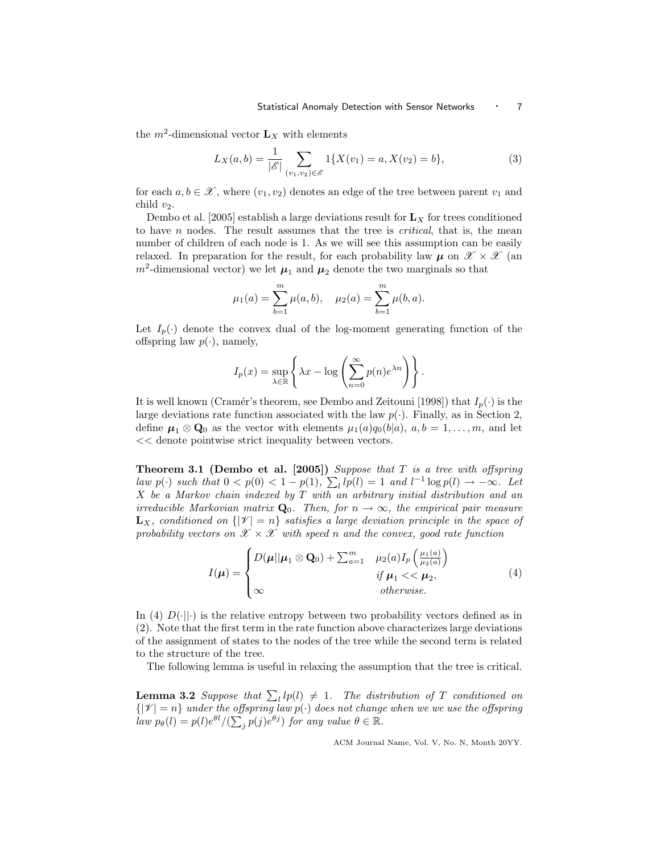the  $m^2$ -dimensional vector  $L_X$  with elements

$$
L_X(a,b) = \frac{1}{|\mathscr{E}|} \sum_{(v_1,v_2) \in \mathscr{E}} 1\{X(v_1) = a, X(v_2) = b\},\tag{3}
$$

for each  $a, b \in \mathcal{X}$ , where  $(v_1, v_2)$  denotes an edge of the tree between parent  $v_1$  and child  $v_2$ .

Dembo et al. [2005] establish a large deviations result for  $\mathbf{L}_X$  for trees conditioned to have  $n$  nodes. The result assumes that the tree is *critical*, that is, the mean number of children of each node is 1. As we will see this assumption can be easily relaxed. In preparation for the result, for each probability law  $\mu$  on  $\mathscr{X} \times \mathscr{X}$  (an  $m^2$ -dimensional vector) we let  $\mu_1$  and  $\mu_2$  denote the two marginals so that

$$
\mu_1(a) = \sum_{b=1}^m \mu(a, b), \quad \mu_2(a) = \sum_{b=1}^m \mu(b, a).
$$

Let  $I_p(\cdot)$  denote the convex dual of the log-moment generating function of the offspring law  $p(\cdot)$ , namely,

$$
I_p(x) = \sup_{\lambda \in \mathbb{R}} \left\{ \lambda x - \log \left( \sum_{n=0}^{\infty} p(n) e^{\lambda n} \right) \right\}.
$$

It is well known (Cramér's theorem, see Dembo and Zeitouni [1998]) that  $I_p(\cdot)$  is the large deviations rate function associated with the law  $p(\cdot)$ . Finally, as in Section 2, define  $\mu_1 \otimes \mathbf{Q}_0$  as the vector with elements  $\mu_1(a)q_0(b|a)$ ,  $a, b = 1, \ldots, m$ , and let << denote pointwise strict inequality between vectors.

**Theorem 3.1 (Dembo et al. [2005])** Suppose that  $T$  is a tree with offspring law  $p(\cdot)$  such that  $0 < p(0) < 1 - p(1)$ ,  $\sum_{l} lp(l) = 1$  and  $l^{-1} \log p(l) \rightarrow -\infty$ . Let X be a Markov chain indexed by T with an arbitrary initial distribution and an irreducible Markovian matrix  $\mathbf{Q}_0$ . Then, for  $n \to \infty$ , the empirical pair measure  $\mathbf{L}_X$ , conditioned on  $\{|\mathcal{V}| = n\}$  satisfies a large deviation principle in the space of probability vectors on  $\mathscr{X} \times \mathscr{X}$  with speed n and the convex, good rate function

$$
I(\boldsymbol{\mu}) = \begin{cases} D(\boldsymbol{\mu}||\boldsymbol{\mu}_1 \otimes \mathbf{Q}_0) + \sum_{a=1}^m \mu_2(a) I_p \left( \frac{\mu_1(a)}{\mu_2(a)} \right) \\ \text{if } \boldsymbol{\mu}_1 < < \boldsymbol{\mu}_2, \\ \infty & \text{otherwise.} \end{cases} \tag{4}
$$

In (4)  $D(\cdot||\cdot)$  is the relative entropy between two probability vectors defined as in (2). Note that the first term in the rate function above characterizes large deviations of the assignment of states to the nodes of the tree while the second term is related to the structure of the tree.

The following lemma is useful in relaxing the assumption that the tree is critical.

**Lemma 3.2** Suppose that  $\sum_{l} l(p(l) \neq 1$ . The distribution of T conditioned on  $\{|\mathcal{V}| = n\}$  under the offspring law  $p(\cdot)$  does not change when we we use the offspring  $law p_{\theta}(l) = p(l)e^{\theta l}/(\sum_j p(j)e^{\theta j})$  for any value  $\theta \in \mathbb{R}$ .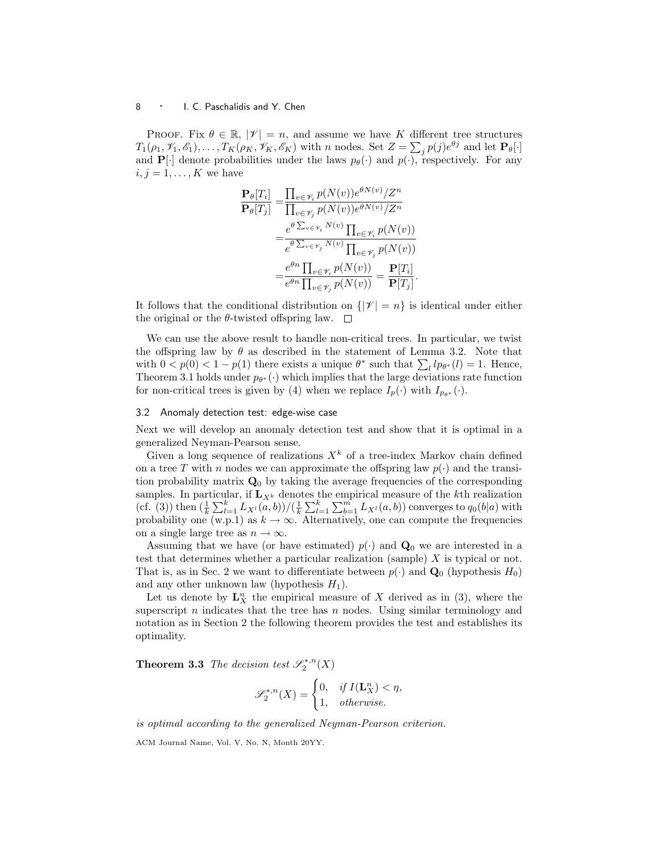PROOF. Fix  $\theta \in \mathbb{R}$ ,  $|\mathcal{V}| = n$ , and assume we have K different tree structures  $T_1(\rho_1, \mathcal{V}_1, \mathcal{E}_1), \ldots, T_K(\rho_K, \mathcal{V}_K, \mathcal{E}_K)$  with n nodes. Set  $Z = \sum_j p(j)e^{\theta j}$  and let  $\mathbf{P}_{\theta}[\cdot]$ and  $\mathbf{P}[\cdot]$  denote probabilities under the laws  $p_{\theta}(\cdot)$  and  $p(\cdot)$ , respectively. For any  $i, j = 1, \ldots, K$  we have

$$
\frac{\mathbf{P}_{\theta}[T_i]}{\mathbf{P}_{\theta}[T_j]} = \frac{\prod_{v \in \mathcal{V}_i} p(N(v))e^{\theta N(v)}/Z^n}{\prod_{v \in \mathcal{V}_j} p(N(v))e^{\theta N(v)}/Z^n}
$$
\n
$$
= \frac{e^{\theta \sum_{v \in \mathcal{V}_i} N(v)} \prod_{v \in \mathcal{V}_i} p(N(v))}{e^{\theta \sum_{v \in \mathcal{V}_j} N(v)} \prod_{v \in \mathcal{V}_j} p(N(v))}
$$
\n
$$
= \frac{e^{\theta n} \prod_{v \in \mathcal{V}_i} p(N(v))}{e^{\theta n} \prod_{v \in \mathcal{V}_j} p(N(v))} = \frac{\mathbf{P}[T_i]}{\mathbf{P}[T_j]}.
$$

It follows that the conditional distribution on  $\{|\mathcal{V}| = n\}$  is identical under either the original or the  $\theta$ -twisted offspring law.  $\square$ 

We can use the above result to handle non-critical trees. In particular, we twist the offspring law by  $\theta$  as described in the statement of Lemma 3.2. Note that with  $0 < p(0) < 1 - p(1)$  there exists a unique  $\theta^*$  such that  $\sum_l lp_{\theta^*}(l) = 1$ . Hence, Theorem 3.1 holds under  $p_{\theta^*}(\cdot)$  which implies that the large deviations rate function for non-critical trees is given by (4) when we replace  $I_p(\cdot)$  with  $I_{p_{\theta^*}}(\cdot)$ .

### 3.2 Anomaly detection test: edge-wise case

Next we will develop an anomaly detection test and show that it is optimal in a generalized Neyman-Pearson sense.

Given a long sequence of realizations  $X<sup>k</sup>$  of a tree-index Markov chain defined on a tree T with n nodes we can approximate the offspring law  $p(\cdot)$  and the transition probability matrix  $\mathbf{Q}_0$  by taking the average frequencies of the corresponding samples. In particular, if  $\mathbf{L}_{X^k}$  denotes the empirical measure of the kth realization (cf. (3)) then  $(\frac{1}{k} \sum_{l=1}^{k} L_{X^{l}}(a, b)) / (\frac{1}{k} \sum_{l=1}^{k} \sum_{b=1}^{m} L_{X^{l}}(a, b))$  converges to  $q_{0}(b|a)$  with probability one (w.p.1) as  $k \to \infty$ . Alternatively, one can compute the frequencies on a single large tree as  $n \to \infty$ .

Assuming that we have (or have estimated)  $p(\cdot)$  and  $\mathbf{Q}_0$  we are interested in a test that determines whether a particular realization (sample)  $X$  is typical or not. That is, as in Sec. 2 we want to differentiate between  $p(\cdot)$  and  $\mathbf{Q}_0$  (hypothesis  $H_0$ ) and any other unknown law (hypothesis  $H_1$ ).

Let us denote by  $\mathbf{L}_X^n$  the empirical measure of X derived as in (3), where the superscript n indicates that the tree has n nodes. Using similar terminology and notation as in Section 2 the following theorem provides the test and establishes its optimality.

**Theorem 3.3** The decision test  $\mathscr{S}_2^{*,n}(X)$ 

$$
\mathscr{S}^{*,n}_2(X) = \begin{cases} 0, & \text{if } I(\mathbf{L}^n_X) < \eta, \\ 1, & \text{otherwise.} \end{cases}
$$

is optimal according to the generalized Neyman-Pearson criterion.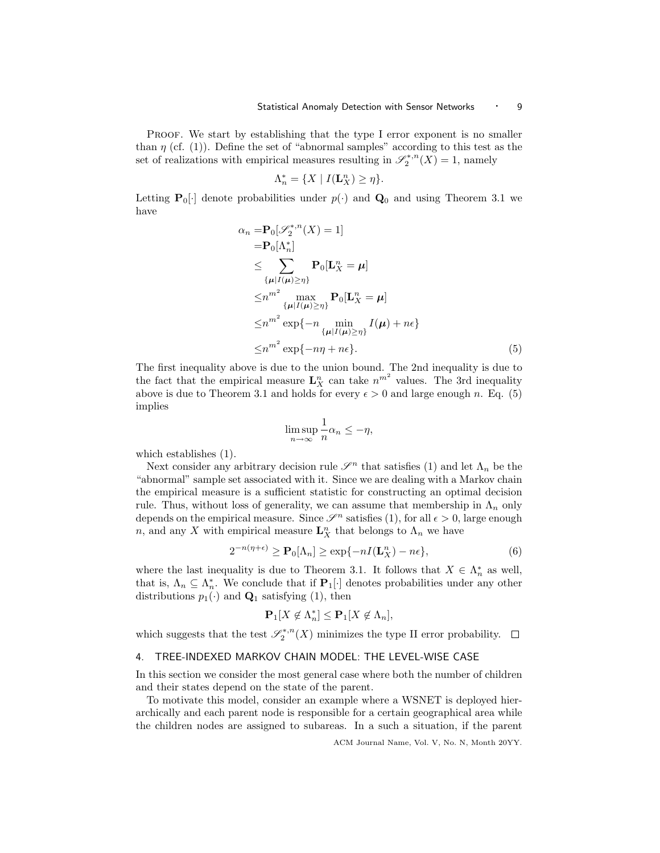PROOF. We start by establishing that the type I error exponent is no smaller than  $\eta$  (cf. (1)). Define the set of "abnormal samples" according to this test as the set of realizations with empirical measures resulting in  $\mathscr{S}_2^{*,n}(X) = 1$ , namely

$$
\Lambda_n^* = \{ X \mid I(\mathbf{L}_X^n) \ge \eta \}.
$$

Letting  $\mathbf{P}_0[\cdot]$  denote probabilities under  $p(\cdot)$  and  $\mathbf{Q}_0$  and using Theorem 3.1 we have

$$
\alpha_n = \mathbf{P}_0[\mathscr{S}_2^{*,n}(X) = 1]
$$
  
\n
$$
= \mathbf{P}_0[\Lambda_n^*]
$$
  
\n
$$
\leq \sum_{\{\mu | I(\mu) \geq \eta\}} \mathbf{P}_0[\mathbf{L}_X^n = \mu]
$$
  
\n
$$
\leq n^{m^2} \max_{\{\mu | I(\mu) \geq \eta\}} \mathbf{P}_0[\mathbf{L}_X^n = \mu]
$$
  
\n
$$
\leq n^{m^2} \exp\{-n \min_{\{\mu | I(\mu) \geq \eta\}} I(\mu) + n\epsilon\}
$$
  
\n
$$
\leq n^{m^2} \exp\{-n\eta + n\epsilon\}.
$$
\n(5)

The first inequality above is due to the union bound. The 2nd inequality is due to the fact that the empirical measure  $\mathbf{L}_X^n$  can take  $n^{m^2}$  values. The 3rd inequality above is due to Theorem 3.1 and holds for every  $\epsilon > 0$  and large enough n. Eq. (5) implies

$$
\limsup_{n \to \infty} \frac{1}{n} \alpha_n \le -\eta,
$$

which establishes (1).

Next consider any arbitrary decision rule  $\mathscr{S}^n$  that satisfies (1) and let  $\Lambda_n$  be the "abnormal" sample set associated with it. Since we are dealing with a Markov chain the empirical measure is a sufficient statistic for constructing an optimal decision rule. Thus, without loss of generality, we can assume that membership in  $\Lambda_n$  only depends on the empirical measure. Since  $\mathscr{S}^n$  satisfies (1), for all  $\epsilon > 0$ , large enough n, and any X with empirical measure  $\mathbf{L}^n_X$  that belongs to  $\Lambda_n$  we have

$$
2^{-n(\eta+\epsilon)} \ge \mathbf{P}_0[\Lambda_n] \ge \exp\{-nI(\mathbf{L}_X^n) - n\epsilon\},\tag{6}
$$

where the last inequality is due to Theorem 3.1. It follows that  $X \in \Lambda_n^*$  as well, that is,  $\Lambda_n \subseteq \Lambda_n^*$ . We conclude that if  $\mathbf{P}_1[\cdot]$  denotes probabilities under any other distributions  $p_1(\cdot)$  and  $\mathbf{Q}_1$  satisfying (1), then

$$
\mathbf{P}_1[X \not\in \Lambda_n^*] \le \mathbf{P}_1[X \not\in \Lambda_n],
$$

which suggests that the test  $\mathscr{S}^{*,n}_2(X)$  minimizes the type II error probability.

# 4. TREE-INDEXED MARKOV CHAIN MODEL: THE LEVEL-WISE CASE

In this section we consider the most general case where both the number of children and their states depend on the state of the parent.

To motivate this model, consider an example where a WSNET is deployed hierarchically and each parent node is responsible for a certain geographical area while the children nodes are assigned to subareas. In a such a situation, if the parent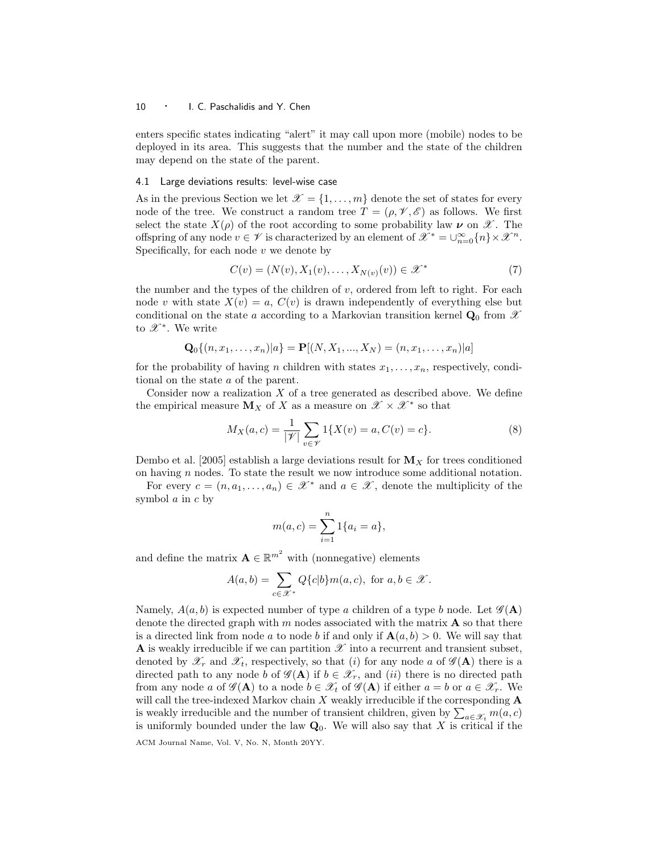enters specific states indicating "alert" it may call upon more (mobile) nodes to be deployed in its area. This suggests that the number and the state of the children may depend on the state of the parent.

### 4.1 Large deviations results: level-wise case

As in the previous Section we let  $\mathcal{X} = \{1, \ldots, m\}$  denote the set of states for every node of the tree. We construct a random tree  $T = (\rho, \mathcal{V}, \mathcal{E})$  as follows. We first select the state  $X(\rho)$  of the root according to some probability law  $\nu$  on  $\mathscr{X}$ . The offspring of any node  $v \in \mathscr{V}$  is characterized by an element of  $\mathscr{X}^* = \cup_{n=0}^{\infty} \{n\} \times \mathscr{X}^n$ . Specifically, for each node  $v$  we denote by

$$
C(v) = (N(v), X_1(v), \dots, X_{N(v)}(v)) \in \mathcal{X}^*
$$
\n(7)

the number and the types of the children of  $v$ , ordered from left to right. For each node v with state  $X(v) = a, C(v)$  is drawn independently of everything else but conditional on the state a according to a Markovian transition kernel  $\mathbf{Q}_0$  from X to  $\mathscr{X}^*$ . We write

$$
\mathbf{Q}_0\{(n, x_1, \dots, x_n)|a\} = \mathbf{P}[(N, X_1, \dots, X_N) = (n, x_1, \dots, x_n)|a]
$$

for the probability of having n children with states  $x_1, \ldots, x_n$ , respectively, conditional on the state a of the parent.

Consider now a realization  $X$  of a tree generated as described above. We define the empirical measure  $M_X$  of X as a measure on  $\mathscr{X} \times \mathscr{X}^*$  so that

$$
M_X(a,c) = \frac{1}{|\mathcal{V}|} \sum_{v \in \mathcal{V}} 1\{X(v) = a, C(v) = c\}.
$$
 (8)

Dembo et al. [2005] establish a large deviations result for  $M_X$  for trees conditioned on having  $n$  nodes. To state the result we now introduce some additional notation.

For every  $c = (n, a_1, \ldots, a_n) \in \mathcal{X}^*$  and  $a \in \mathcal{X}$ , denote the multiplicity of the symbol a in c by

$$
m(a,c) = \sum_{i=1}^{n} 1\{a_i = a\},\,
$$

and define the matrix  $\mathbf{A} \in \mathbb{R}^{m^2}$  with (nonnegative) elements

$$
A(a,b) = \sum_{c \in \mathcal{X}^*} Q\{c|b\} m(a,c), \text{ for } a, b \in \mathcal{X}.
$$

Namely,  $A(a, b)$  is expected number of type a children of a type b node. Let  $\mathscr{G}(A)$ denote the directed graph with m nodes associated with the matrix  $\bf{A}$  so that there is a directed link from node a to node b if and only if  $\mathbf{A}(a, b) > 0$ . We will say that A is weakly irreducible if we can partition  $\mathscr X$  into a recurrent and transient subset, denoted by  $\mathscr{X}_r$  and  $\mathscr{X}_t$ , respectively, so that (i) for any node a of  $\mathscr{G}(\mathbf{A})$  there is a directed path to any node b of  $\mathscr{G}(A)$  if  $b \in \mathscr{X}_r$ , and  $(ii)$  there is no directed path from any node a of  $\mathscr{G}(A)$  to a node  $b \in \mathscr{X}_t$  of  $\mathscr{G}(A)$  if either  $a = b$  or  $a \in \mathscr{X}_r$ . We will call the tree-indexed Markov chain  $X$  weakly irreducible if the corresponding  $A$ is weakly irreducible and the number of transient children, given by  $\sum_{a\in\mathscr{X}_t} m(a,c)$ is uniformly bounded under the law  $\mathbf{Q}_0$ . We will also say that X is critical if the ACM Journal Name, Vol. V, No. N, Month 20YY.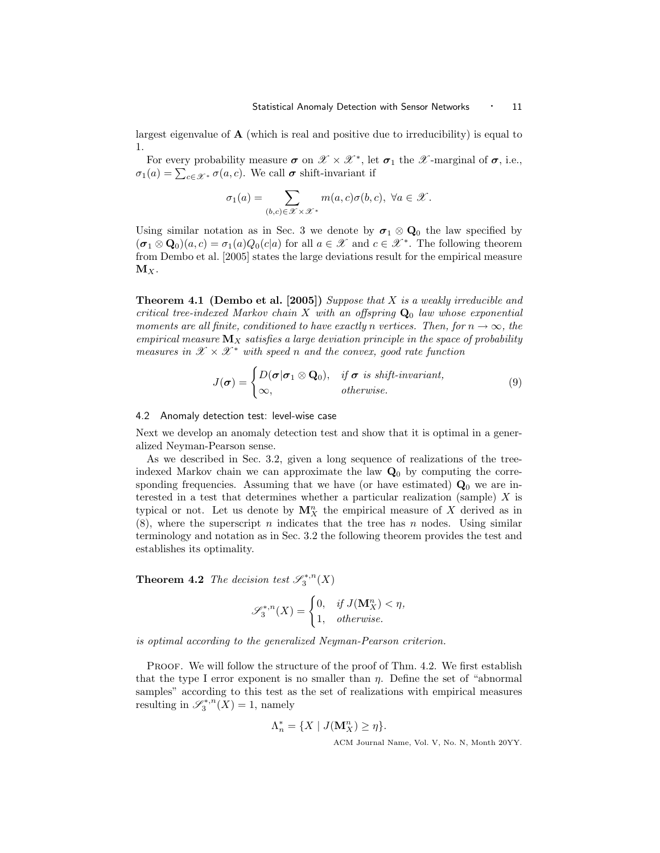largest eigenvalue of  $A$  (which is real and positive due to irreducibility) is equal to 1.

For every probability measure  $\sigma$  on  $\mathscr{X} \times \mathscr{X}^*$ , let  $\sigma_1$  the  $\mathscr{X}$ -marginal of  $\sigma$ , i.e.,  $\sigma_1(a) = \sum_{c \in \mathscr{X}^*} \sigma(a, c)$ . We call  $\sigma$  shift-invariant if

$$
\sigma_1(a) = \sum_{(b,c) \in \mathcal{X} \times \mathcal{X}^*} m(a,c)\sigma(b,c), \ \forall a \in \mathcal{X}.
$$

Using similar notation as in Sec. 3 we denote by  $\sigma_1 \otimes \mathbf{Q}_0$  the law specified by  $(\sigma_1 \otimes \mathbf{Q}_0)(a,c) = \sigma_1(a)Q_0(c|a)$  for all  $a \in \mathscr{X}$  and  $c \in \mathscr{X}^*$ . The following theorem from Dembo et al. [2005] states the large deviations result for the empirical measure  $M_X$ .

**Theorem 4.1 (Dembo et al. [2005])** Suppose that  $X$  is a weakly irreducible and critical tree-indexed Markov chain X with an offspring  $Q_0$  law whose exponential moments are all finite, conditioned to have exactly n vertices. Then, for  $n \to \infty$ , the empirical measure  $M_X$  satisfies a large deviation principle in the space of probability measures in  $\mathscr{X} \times \mathscr{X}^*$  with speed n and the convex, good rate function

$$
J(\boldsymbol{\sigma}) = \begin{cases} D(\boldsymbol{\sigma}|\boldsymbol{\sigma}_1 \otimes \mathbf{Q}_0), & \text{if } \boldsymbol{\sigma} \text{ is shift-invariant,} \\ \infty, & \text{otherwise.} \end{cases} \tag{9}
$$

# 4.2 Anomaly detection test: level-wise case

Next we develop an anomaly detection test and show that it is optimal in a generalized Neyman-Pearson sense.

As we described in Sec. 3.2, given a long sequence of realizations of the treeindexed Markov chain we can approximate the law  $Q_0$  by computing the corresponding frequencies. Assuming that we have (or have estimated)  $Q_0$  we are interested in a test that determines whether a particular realization (sample)  $X$  is typical or not. Let us denote by  $M_X^n$  the empirical measure of X derived as in  $(8)$ , where the superscript n indicates that the tree has n nodes. Using similar terminology and notation as in Sec. 3.2 the following theorem provides the test and establishes its optimality.

**Theorem 4.2** The decision test  $\mathscr{S}_3^{*,n}(X)$ 

$$
\mathcal{S}_3^{*,n}(X) = \begin{cases} 0, & \text{if } J(\mathbf{M}_X^n) < \eta, \\ 1, & \text{otherwise.} \end{cases}
$$

is optimal according to the generalized Neyman-Pearson criterion.

PROOF. We will follow the structure of the proof of Thm. 4.2. We first establish that the type I error exponent is no smaller than  $\eta$ . Define the set of "abnormal" samples" according to this test as the set of realizations with empirical measures resulting in  $\mathscr{S}_3^{*,n}(X) = 1$ , namely

$$
\Lambda_n^* = \{ X \mid J(\mathbf{M}_X^n) \ge \eta \}.
$$
  
ACM Journal Name, Vol. V, No. N, Month 20YY.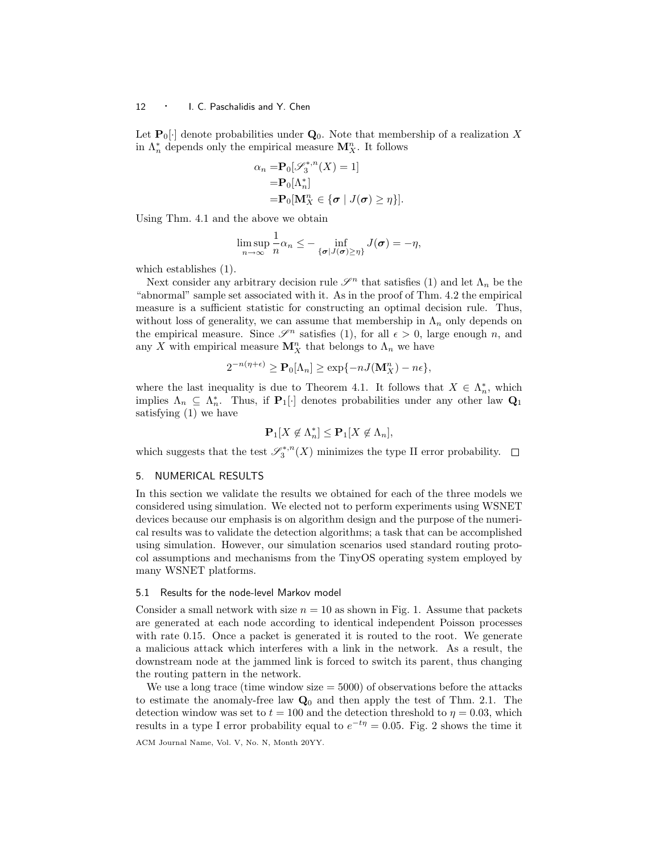Let  $\mathbf{P}_0[\cdot]$  denote probabilities under  $\mathbf{Q}_0$ . Note that membership of a realization X in  $\Lambda_n^*$  depends only the empirical measure  $\mathbf{M}_X^n$ . It follows

$$
\alpha_n = \mathbf{P}_0[\mathscr{S}_3^{*,n}(X) = 1]
$$
  
=  $\mathbf{P}_0[\Lambda_n^*]$   
=  $\mathbf{P}_0[\mathbf{M}_X^n \in {\{\sigma \mid J(\sigma) \geq \eta\}}].$ 

Using Thm. 4.1 and the above we obtain

$$
\limsup_{n\to\infty}\frac{1}{n}\alpha_n\leq-\inf_{\{\boldsymbol{\sigma}|\boldsymbol{J}(\boldsymbol{\sigma})\geq\eta\}}\boldsymbol{J}(\boldsymbol{\sigma})=-\eta,
$$

which establishes (1).

Next consider any arbitrary decision rule  $\mathscr{S}^n$  that satisfies (1) and let  $\Lambda_n$  be the "abnormal" sample set associated with it. As in the proof of Thm. 4.2 the empirical measure is a sufficient statistic for constructing an optimal decision rule. Thus, without loss of generality, we can assume that membership in  $\Lambda_n$  only depends on the empirical measure. Since  $\mathscr{S}^n$  satisfies (1), for all  $\epsilon > 0$ , large enough n, and any X with empirical measure  $\mathbf{M}_{X}^{n}$  that belongs to  $\Lambda_{n}$  we have

$$
2^{-n(\eta+\epsilon)} \ge \mathbf{P}_0[\Lambda_n] \ge \exp\{-nJ(\mathbf{M}_X^n) - n\epsilon\},\
$$

where the last inequality is due to Theorem 4.1. It follows that  $X \in \Lambda_n^*$ , which implies  $\Lambda_n \subseteq \Lambda_n^*$ . Thus, if  $\mathbf{P}_1[\cdot]$  denotes probabilities under any other law  $\mathbf{Q}_1$ satisfying (1) we have

$$
\mathbf{P}_1[X \not\in \Lambda_n^*] \le \mathbf{P}_1[X \not\in \Lambda_n],
$$

which suggests that the test  $\mathscr{S}^{*,n}_3(X)$  minimizes the type II error probability.

## 5. NUMERICAL RESULTS

In this section we validate the results we obtained for each of the three models we considered using simulation. We elected not to perform experiments using WSNET devices because our emphasis is on algorithm design and the purpose of the numerical results was to validate the detection algorithms; a task that can be accomplished using simulation. However, our simulation scenarios used standard routing protocol assumptions and mechanisms from the TinyOS operating system employed by many WSNET platforms.

## 5.1 Results for the node-level Markov model

Consider a small network with size  $n = 10$  as shown in Fig. 1. Assume that packets are generated at each node according to identical independent Poisson processes with rate 0.15. Once a packet is generated it is routed to the root. We generate a malicious attack which interferes with a link in the network. As a result, the downstream node at the jammed link is forced to switch its parent, thus changing the routing pattern in the network.

We use a long trace (time window size  $= 5000$ ) of observations before the attacks to estimate the anomaly-free law  $Q_0$  and then apply the test of Thm. 2.1. The detection window was set to  $t = 100$  and the detection threshold to  $\eta = 0.03$ , which results in a type I error probability equal to  $e^{-t\eta} = 0.05$ . Fig. 2 shows the time it ACM Journal Name, Vol. V, No. N, Month 20YY.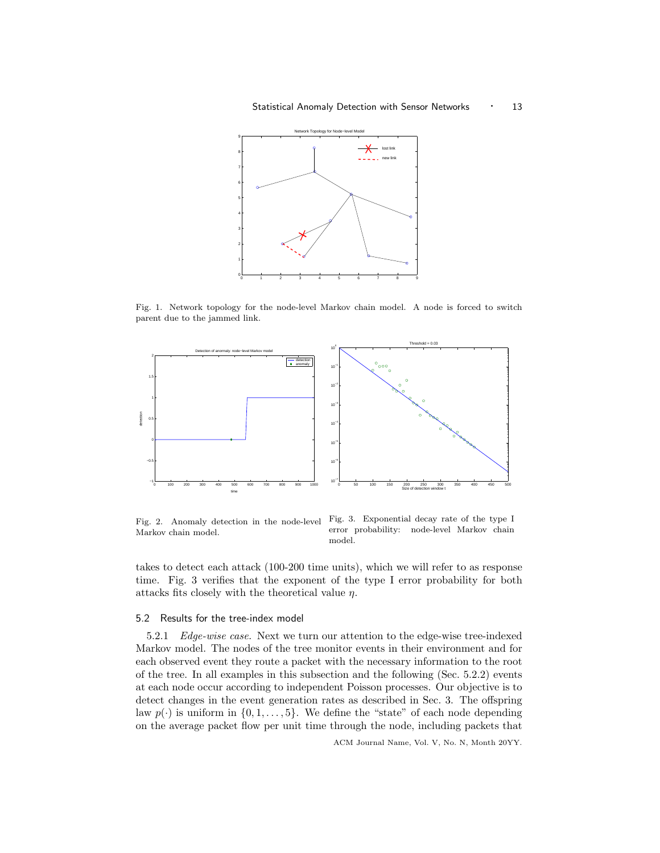

Fig. 1. Network topology for the node-level Markov chain model. A node is forced to switch parent due to the jammed link.



Fig. 2. Anomaly detection in the node-level Markov chain model.

Fig. 3. Exponential decay rate of the type I error probability: node-level Markov chain model.

takes to detect each attack (100-200 time units), which we will refer to as response time. Fig. 3 verifies that the exponent of the type I error probability for both attacks fits closely with the theoretical value  $\eta.$ 

# 5.2 Results for the tree-index model

5.2.1 Edge-wise case. Next we turn our attention to the edge-wise tree-indexed Markov model. The nodes of the tree monitor events in their environment and for each observed event they route a packet with the necessary information to the root of the tree. In all examples in this subsection and the following (Sec. 5.2.2) events at each node occur according to independent Poisson processes. Our objective is to detect changes in the event generation rates as described in Sec. 3. The offspring law  $p(\cdot)$  is uniform in  $\{0, 1, \ldots, 5\}$ . We define the "state" of each node depending on the average packet flow per unit time through the node, including packets that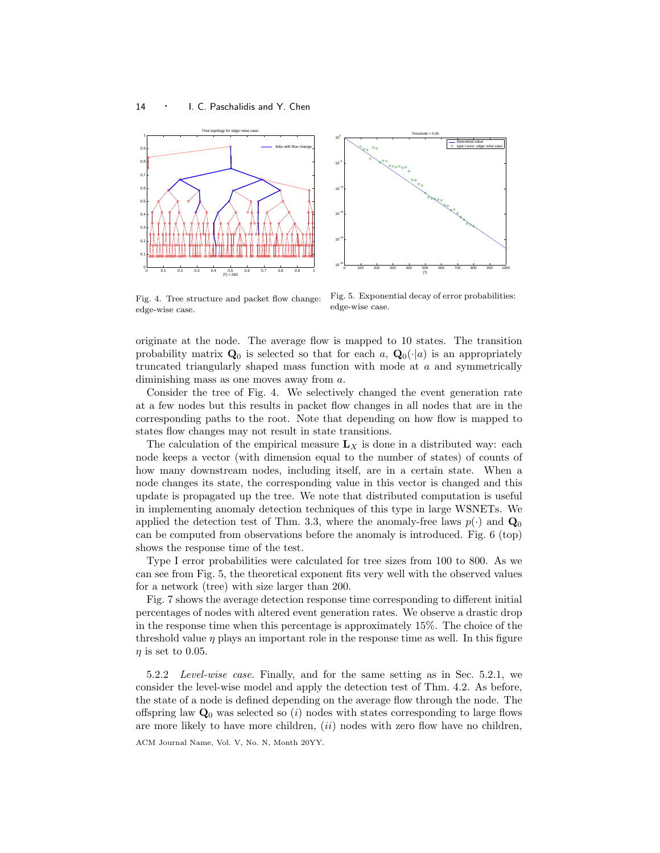



Fig. 4. Tree structure and packet flow change: edge-wise case.

Fig. 5. Exponential decay of error probabilities: edge-wise case.

originate at the node. The average flow is mapped to 10 states. The transition probability matrix  $\mathbf{Q}_0$  is selected so that for each a,  $\mathbf{Q}_0(\cdot|a)$  is an appropriately truncated triangularly shaped mass function with mode at  $a$  and symmetrically diminishing mass as one moves away from a.

Consider the tree of Fig. 4. We selectively changed the event generation rate at a few nodes but this results in packet flow changes in all nodes that are in the corresponding paths to the root. Note that depending on how flow is mapped to states flow changes may not result in state transitions.

The calculation of the empirical measure  $L_X$  is done in a distributed way: each node keeps a vector (with dimension equal to the number of states) of counts of how many downstream nodes, including itself, are in a certain state. When a node changes its state, the corresponding value in this vector is changed and this update is propagated up the tree. We note that distributed computation is useful in implementing anomaly detection techniques of this type in large WSNETs. We applied the detection test of Thm. 3.3, where the anomaly-free laws  $p(\cdot)$  and  $\mathbf{Q}_0$ can be computed from observations before the anomaly is introduced. Fig. 6 (top) shows the response time of the test.

Type I error probabilities were calculated for tree sizes from 100 to 800. As we can see from Fig. 5, the theoretical exponent fits very well with the observed values for a network (tree) with size larger than 200.

Fig. 7 shows the average detection response time corresponding to different initial percentages of nodes with altered event generation rates. We observe a drastic drop in the response time when this percentage is approximately 15%. The choice of the threshold value  $\eta$  plays an important role in the response time as well. In this figure  $\eta$  is set to 0.05.

5.2.2 Level-wise case. Finally, and for the same setting as in Sec. 5.2.1, we consider the level-wise model and apply the detection test of Thm. 4.2. As before, the state of a node is defined depending on the average flow through the node. The offspring law  $\mathbf{Q}_0$  was selected so (i) nodes with states corresponding to large flows are more likely to have more children,  $(ii)$  nodes with zero flow have no children,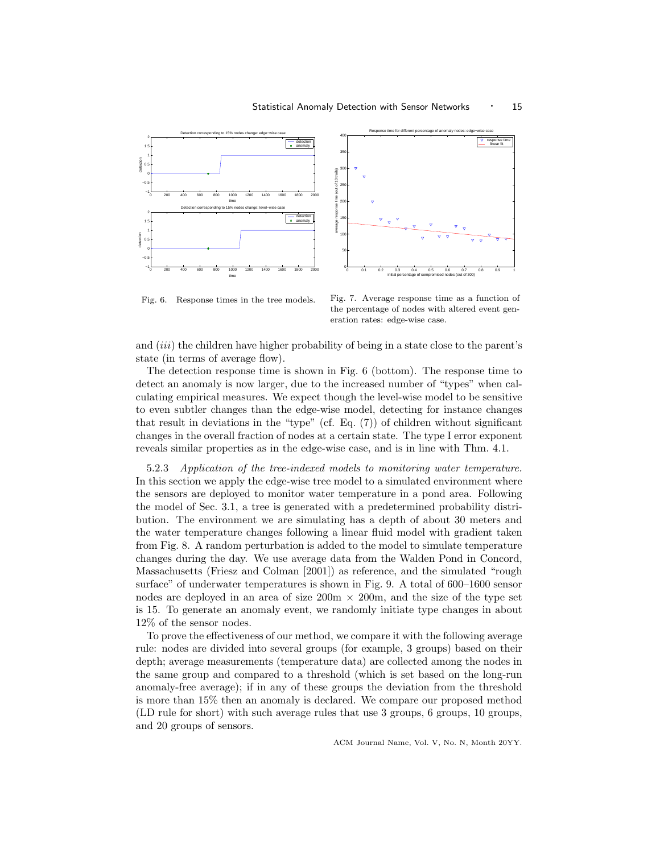



Response time for different percentage of anomaly nodes: edge−wise case

Fig. 6. Response times in the tree models.

Fig. 7. Average response time as a function of the percentage of nodes with altered event generation rates: edge-wise case.

and *(iii)* the children have higher probability of being in a state close to the parent's state (in terms of average flow).

The detection response time is shown in Fig. 6 (bottom). The response time to detect an anomaly is now larger, due to the increased number of "types" when calculating empirical measures. We expect though the level-wise model to be sensitive to even subtler changes than the edge-wise model, detecting for instance changes that result in deviations in the "type" (cf. Eq. (7)) of children without significant changes in the overall fraction of nodes at a certain state. The type I error exponent reveals similar properties as in the edge-wise case, and is in line with Thm. 4.1.

5.2.3 Application of the tree-indexed models to monitoring water temperature. In this section we apply the edge-wise tree model to a simulated environment where the sensors are deployed to monitor water temperature in a pond area. Following the model of Sec. 3.1, a tree is generated with a predetermined probability distribution. The environment we are simulating has a depth of about 30 meters and the water temperature changes following a linear fluid model with gradient taken from Fig. 8. A random perturbation is added to the model to simulate temperature changes during the day. We use average data from the Walden Pond in Concord, Massachusetts (Friesz and Colman [2001]) as reference, and the simulated "rough surface" of underwater temperatures is shown in Fig. 9. A total of 600–1600 sensor nodes are deployed in an area of size  $200m \times 200m$ , and the size of the type set is 15. To generate an anomaly event, we randomly initiate type changes in about 12% of the sensor nodes.

To prove the effectiveness of our method, we compare it with the following average rule: nodes are divided into several groups (for example, 3 groups) based on their depth; average measurements (temperature data) are collected among the nodes in the same group and compared to a threshold (which is set based on the long-run anomaly-free average); if in any of these groups the deviation from the threshold is more than 15% then an anomaly is declared. We compare our proposed method (LD rule for short) with such average rules that use 3 groups, 6 groups, 10 groups, and 20 groups of sensors.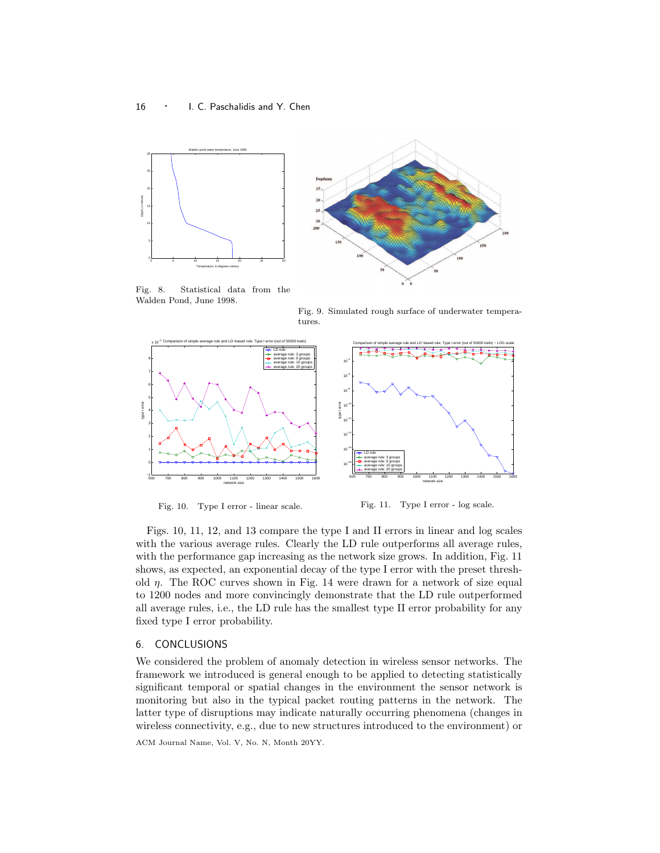



Fig. 8. Statistical data from the Walden Pond, June 1998.

Fig. 9. Simulated rough surface of underwater temperatures.



Fig. 10. Type I error - linear scale.

Fig. 11. Type I error - log scale.

Figs. 10, 11, 12, and 13 compare the type I and II errors in linear and log scales with the various average rules. Clearly the LD rule outperforms all average rules, with the performance gap increasing as the network size grows. In addition, Fig. 11 shows, as expected, an exponential decay of the type I error with the preset threshold  $\eta$ . The ROC curves shown in Fig. 14 were drawn for a network of size equal to 1200 nodes and more convincingly demonstrate that the LD rule outperformed all average rules, i.e., the LD rule has the smallest type II error probability for any fixed type I error probability.

# 6. CONCLUSIONS

We considered the problem of anomaly detection in wireless sensor networks. The framework we introduced is general enough to be applied to detecting statistically significant temporal or spatial changes in the environment the sensor network is monitoring but also in the typical packet routing patterns in the network. The latter type of disruptions may indicate naturally occurring phenomena (changes in wireless connectivity, e.g., due to new structures introduced to the environment) or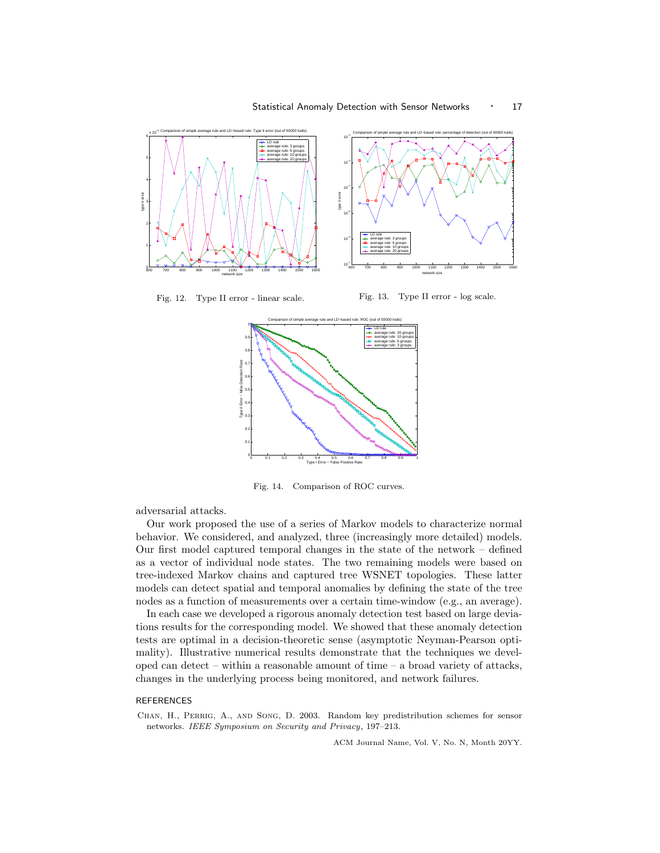

Fig. 12. Type II error - linear scale.

Fig. 13. Type II error - log scale.



Fig. 14. Comparison of ROC curves.

adversarial attacks.

Our work proposed the use of a series of Markov models to characterize normal behavior. We considered, and analyzed, three (increasingly more detailed) models. Our first model captured temporal changes in the state of the network – defined as a vector of individual node states. The two remaining models were based on tree-indexed Markov chains and captured tree WSNET topologies. These latter models can detect spatial and temporal anomalies by defining the state of the tree nodes as a function of measurements over a certain time-window (e.g., an average).

In each case we developed a rigorous anomaly detection test based on large deviations results for the corresponding model. We showed that these anomaly detection tests are optimal in a decision-theoretic sense (asymptotic Neyman-Pearson optimality). Illustrative numerical results demonstrate that the techniques we developed can detect – within a reasonable amount of time – a broad variety of attacks, changes in the underlying process being monitored, and network failures.

# REFERENCES

Chan, H., Perrig, A., and Song, D. 2003. Random key predistribution schemes for sensor networks. IEEE Symposium on Security and Privacy, 197–213.